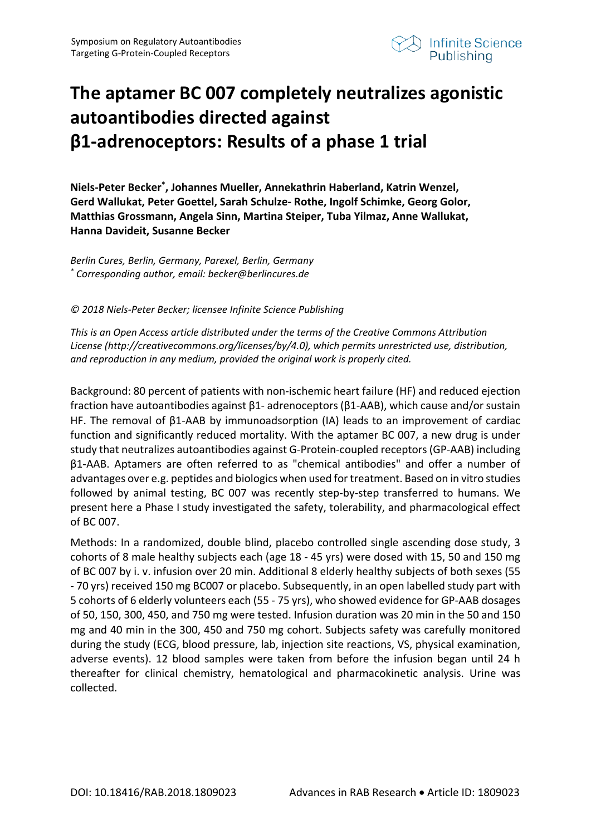

## **The aptamer BC 007 completely neutralizes agonistic autoantibodies directed against β1-adrenoceptors: Results of a phase 1 trial**

**Niels-Peter Becker\* , Johannes Mueller, Annekathrin Haberland, Katrin Wenzel, Gerd Wallukat, Peter Goettel, Sarah Schulze- Rothe, Ingolf Schimke, Georg Golor, Matthias Grossmann, Angela Sinn, Martina Steiper, Tuba Yilmaz, Anne Wallukat, Hanna Davideit, Susanne Becker**

*Berlin Cures, Berlin, Germany, Parexel, Berlin, Germany \* Corresponding author, email: becker@berlincures.de* 

*© 2018 Niels-Peter Becker; licensee Infinite Science Publishing*

*This is an Open Access article distributed under the terms of the Creative Commons Attribution License (http://creativecommons.org/licenses/by/4.0), which permits unrestricted use, distribution, and reproduction in any medium, provided the original work is properly cited.*

Background: 80 percent of patients with non-ischemic heart failure (HF) and reduced ejection fraction have autoantibodies against β1- adrenoceptors (β1-AAB), which cause and/or sustain HF. The removal of β1-AAB by immunoadsorption (IA) leads to an improvement of cardiac function and significantly reduced mortality. With the aptamer BC 007, a new drug is under study that neutralizes autoantibodies against G-Protein-coupled receptors (GP-AAB) including β1-AAB. Aptamers are often referred to as "chemical antibodies" and offer a number of advantages over e.g. peptides and biologics when used for treatment. Based on in vitro studies followed by animal testing, BC 007 was recently step-by-step transferred to humans. We present here a Phase I study investigated the safety, tolerability, and pharmacological effect of BC 007.

Methods: In a randomized, double blind, placebo controlled single ascending dose study, 3 cohorts of 8 male healthy subjects each (age 18 - 45 yrs) were dosed with 15, 50 and 150 mg of BC 007 by i. v. infusion over 20 min. Additional 8 elderly healthy subjects of both sexes (55 - 70 yrs) received 150 mg BC007 or placebo. Subsequently, in an open labelled study part with 5 cohorts of 6 elderly volunteers each (55 - 75 yrs), who showed evidence for GP-AAB dosages of 50, 150, 300, 450, and 750 mg were tested. Infusion duration was 20 min in the 50 and 150 mg and 40 min in the 300, 450 and 750 mg cohort. Subjects safety was carefully monitored during the study (ECG, blood pressure, lab, injection site reactions, VS, physical examination, adverse events). 12 blood samples were taken from before the infusion began until 24 h thereafter for clinical chemistry, hematological and pharmacokinetic analysis. Urine was collected.